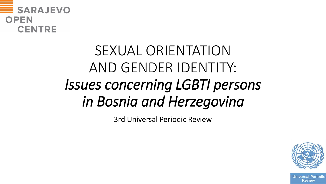

# SEXUAL ORIENTATION AND GENDER IDENTITY: *Issues concerning LGBTI persons in Bosnia and Herzegovina*

3rd Universal Periodic Review



Universal Periodic Review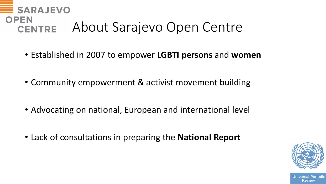## **SARAJEVO OPEN** About Sarajevo Open Centre **CENTRE**

- Established in 2007 to empower **LGBTI persons** and **women**
- Community empowerment & activist movement building
- Advocating on national, European and international level
- Lack of consultations in preparing the **National Report**



Review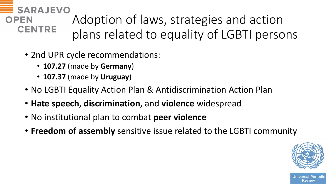**SARAJEVO** Adoption of laws, strategies and action **OPEN CENTRE** plans related to equality of LGBTI persons

- 2nd UPR cycle recommendations:
	- **107.27** (made by **Germany**)
	- **107.37** (made by **Uruguay**)
- No LGBTI Equality Action Plan & Antidiscrimination Action Plan
- **Hate speech**, **discrimination**, and **violence** widespread
- No institutional plan to combat **peer violence**
- **Freedom of assembly** sensitive issue related to the LGBTI community



Review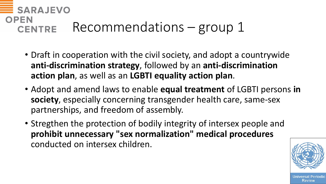## **SARAJEVO OPEN** Recommendations – group 1 **CENTRE**

- Draft in cooperation with the civil society, and adopt a countrywide **anti-discrimination strategy**, followed by an **anti-discrimination action plan**, as well as an **LGBTI equality action plan**.
- Adopt and amend laws to enable **equal treatment** of LGBTI persons **in society**, especially concerning transgender health care, same-sex partnerships, and freedom of assembly.
- Stregthen the protection of bodily integrity of intersex people and **prohibit unnecessary "sex normalization" medical procedures**  conducted on intersex children.



Review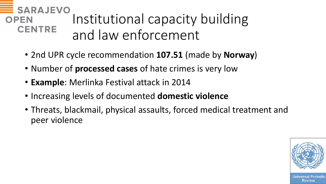#### **SARAJEVO** Institutional capacity building **OPEN CENTRE** and law enforcement

- 2nd UPR cycle recommendation **107.51** (made by **Norway**)
- Number of **processed cases** of hate crimes is very low
- **Example**: Merlinka Festival attack in 2014
- Increasing levels of documented **domestic violence**
- Threats, blackmail, physical assaults, forced medical treatment and peer violence

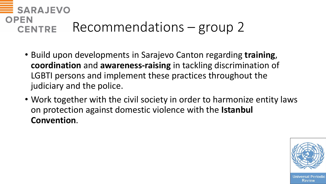## **SARAJEVO OPEN** Recommendations – group 2 **CENTRE**

- Build upon developments in Sarajevo Canton regarding **training**, **coordination** and **awareness-raising** in tackling discrimination of LGBTI persons and implement these practices throughout the judiciary and the police.
- Work together with the civil society in order to harmonize entity laws on protection against domestic violence with the **Istanbul Convention**.